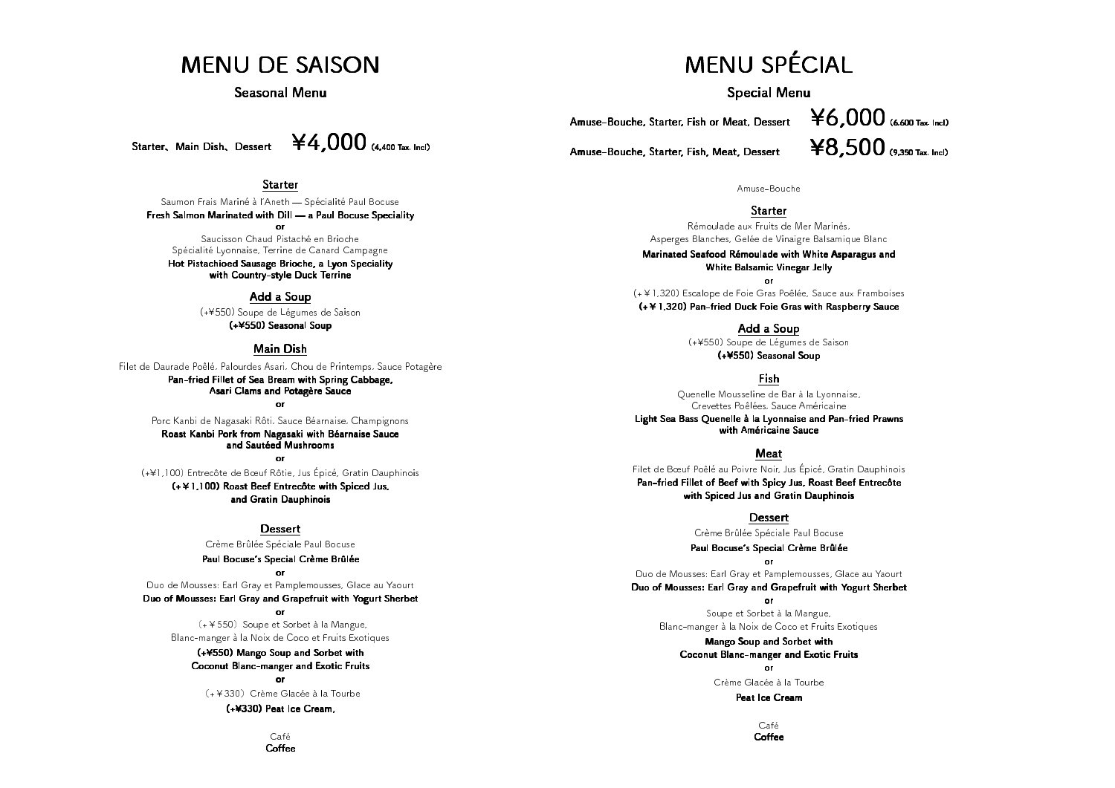## MENU DE SAISON

#### Seasonal Menu

Starter, Main Dish, Dessert

Saumon Frais Mariné à l'Aneth ̶ Spécialité Paul Bocuse Fresh Salmon Marinated with Dill ̶ Fresh Marinated with ̶a Paul Bocuse Speciality a Paul Bocuse Speciality orSaucisson Chaud Pistaché en Brioche Spécialité Lyonnaise, Terrine de Canard Campagne

Hot Pistachioed Sausage Brioche, a Lyon Speciality<br>with Country-style Duck Terrine



## Starter

#### Add a Soup

(+¥550) Soupe de Légumes de Saison<br>(+¥550) Seasonal Soup

#### Main Dish

Filet de Daurade Poêlé, Palourdes Asari, Chou de Printemps, Sauce Potagère<br>**Pan-fried Fillet of Sea Bream with Spring Cabbage,<br>Asari Clams and Potagère Sauce<br>or** 

Porc Kanbi de Nagasaki Rôti, Sauce Béarnaise, Champignons<br>**Roast Kanbi Pork from Nagasaki with Béarnaise Sauce**<br>**and Sautéed Mushrooms** 

(+¥1,100) Entrecôte de Bœuf Rôtie, Jus Épicé, Gratin Dauphinois (+¥1,100) Roast Beef Entrecôte with Spiced Jus, and Gratin Dauphinois

<u>Dessert</u>

Crème Brûlée Spéciale Paul Bocuse<br>**Paul Bocuse's Special Crème Brûlée**<br>or

Duo de Mousses: Earl Gray et Pamplemousses, Glace au Yaourt<br>**Duo of Mousses: Earl Gray and Grapefruit with Yogurt Sherbet**<br>or

(+¥550) Soupe et Sorbet à la Mangue,

Blanc-manger à la Noix de Coco et Fruits Exotiques<br>(+¥550) Mango Soup and Sorbet with Coconut Blanc-manger and Exotic Fruits<br>or

 $(+4330)$  Crème Glacée à la Tourbe **(+¥330) Peat Ice Cream,**<br>Café

Coffee

# MENU SPÉCIAL

Special Menu

Amuse-Bouche, Starter, Fish or Meat, Dessert

Amuse-Bouche, Starter, Fish, Meat, Dessert

Amuse-Bouche

## Starter

Rémoulade aux Fruits de Mer Marinés,<br>Asperges Blanches, Gelée de Vinaigre Balsamique Blanc<br>**Marinated Seafood Rémoulade with White Asparagus and White Balsamic Vinegar Jelly** 

(+¥1,320) Escalope de Foie Gras Poêlée, Sauce aux Framboises (+¥1,320) Escalope de Foie Gras Poêlée, Sauce aux Framboises<br>**(+¥1,320) Pan-fried Duck Foie Gras with Raspberry Sauce** 

#### Add a Soup

(+¥550) Soupe de Légumes de Saison<br>(+¥550) Seasonal Soup

#### Fish

Quenelle Mousseline de Bar à la Lyonnaise, Guenelle Mousseline Crevettes Poêlées, Sauce Américaine<br>Light Sea Bass Quenelle à la Lyonnaise and Pan-fried Prawns<br>with Américaine Sauce

#### Meat

Filet de Bœuf Poêlé au Poivre Noir, Jus Épicé, Gratin Dauphinois<br>**Pan-fried Fillet of Beef with Spicy Jus, Roast Beef Entrecôte<br>with Spiced Jus and Gratin Dauphinois** 

## <u>Dessert</u>

Crème Brûlée Spéciale Paul Bocuse<br>**Paul Bocuse's Special Crème Brûlée** 

Duo de Mousses: Earl Gray et Pamplemousses, Glace au Yaourt Duo of Mousses: Earl Gray and Grapefruit with Yogurt Sherbet<br>or

Soupe et Sorbet à la Mangue,

Blanc-manger à la Noix de Coco et Fruits Exotiques<br> **Mango Soup and Sorbet with**<br> **Coconut Blanc-manger and Exotic Fruits**<br>
or

Crème Glacée à la Tourbe<br>**Peat Ice Cream**<br>Café

Coffee

# $46,000$  (6,600 Tax. Incl)  $48,500$  (9.350 Tax. Incl)